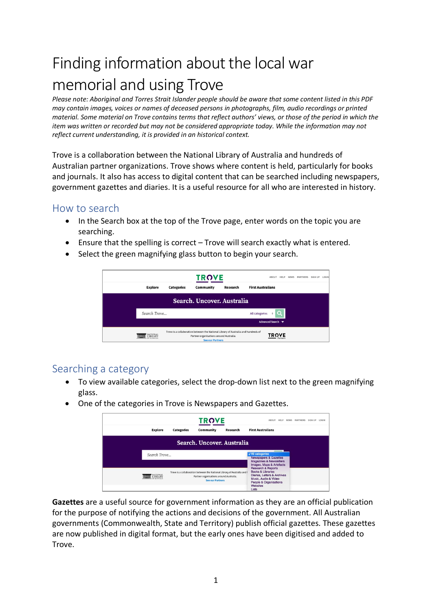# Finding information about the local war memorial and using Trove

*Please note: Aboriginal and Torres Strait Islander people should be aware that some content listed in this PDF may contain images, voices or names of deceased persons in photographs, film, audio recordings or printed material. Some material on Trove contains terms that reflect authors' views, or those of the period in which the item was written or recorded but may not be considered appropriate today. While the information may not reflect current understanding, it is provided in an historical context.* 

Trove is a collaboration between the National Library of Australia and hundreds of Australian partner organizations. Trove shows where content is held, particularly for books and journals. It also has access to digital content that can be searched including newspapers, government gazettes and diaries. It is a useful resource for all who are interested in history.

## How to search

- In the Search box at the top of the Trove page, enter words on the topic you are searching.
- Ensure that the spelling is correct Trove will search exactly what is entered.
- Select the green magnifying glass button to begin your search.



## Searching a category

- To view available categories, select the drop-down list next to the green magnifying glass.
- One of the categories in Trove is Newspapers and Gazettes.

|                            |                   | <b>TROVE</b>                                                                                                                                   |          | <b>HELP</b><br><b>NEWS</b>                                                                                                                                                                                                                                     | <b>PARTNERS</b><br>SIGN UP | LOGIN |
|----------------------------|-------------------|------------------------------------------------------------------------------------------------------------------------------------------------|----------|----------------------------------------------------------------------------------------------------------------------------------------------------------------------------------------------------------------------------------------------------------------|----------------------------|-------|
| <b>Explore</b>             | <b>Categories</b> | Community                                                                                                                                      | Research | <b>First Australians</b>                                                                                                                                                                                                                                       |                            |       |
|                            |                   | Search. Uncover. Australia                                                                                                                     |          |                                                                                                                                                                                                                                                                |                            |       |
| Search Trove               |                   |                                                                                                                                                |          | √ All categories<br><b>Newspapers &amp; Gazettes</b>                                                                                                                                                                                                           |                            |       |
| <b>NATIONAL</b><br>LIBRARY |                   | Trove is a collaboration between the National Library of Australia and F<br>Partner organisations around Australia.<br><b>See our Partners</b> |          | <b>Magazines &amp; Newsletters</b><br>Images, Maps & Artefacts<br><b>Research &amp; Reports</b><br><b>Books &amp; Libraries</b><br>Diaries, Letters & Archives<br>Music, Audio & Video<br><b>People &amp; Organisations</b><br><b>Websites</b><br><b>Lists</b> |                            |       |

**Gazettes** are a useful source for government information as they are an official publication for the purpose of notifying the actions and decisions of the government. All Australian governments (Commonwealth, State and Territory) publish official gazettes. These gazettes are now published in digital format, but the early ones have been digitised and added to Trove.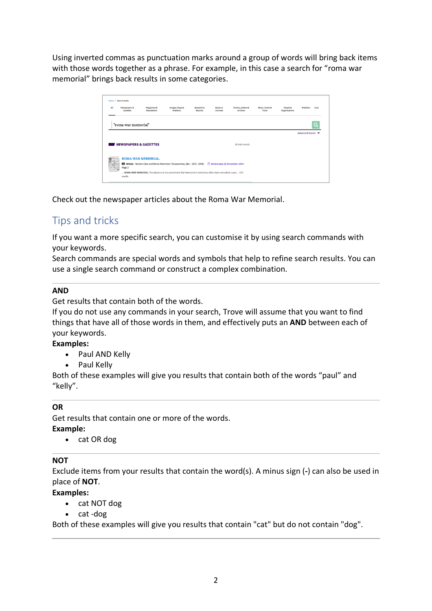Using inverted commas as punctuation marks around a group of words will bring back items with those words together as a phrase. For example, in this case a search for "roma war memorial" brings back results in some categories.

| All | Newspapers &                     | Magazines &               | Images, Maps &                                                                                         | Research & | <b>Books &amp;</b>           | Diaries, Letters & | Music, Audio & | People &      | Websites        | Lists |
|-----|----------------------------------|---------------------------|--------------------------------------------------------------------------------------------------------|------------|------------------------------|--------------------|----------------|---------------|-----------------|-------|
|     | Gazettes                         | Newsletters               | <b>Artefacts</b>                                                                                       | Reports    | Libraries                    | Archives           | Video          | Organisations |                 |       |
|     |                                  |                           |                                                                                                        |            |                              |                    |                |               |                 |       |
|     | "roma war memorial"              |                           |                                                                                                        |            |                              |                    |                |               |                 | റ     |
|     |                                  |                           |                                                                                                        |            |                              |                    |                |               |                 |       |
|     |                                  |                           |                                                                                                        |            |                              |                    |                |               |                 |       |
|     |                                  |                           |                                                                                                        |            |                              |                    |                |               | Advanced Search |       |
|     |                                  |                           |                                                                                                        |            |                              |                    |                |               |                 |       |
|     |                                  |                           |                                                                                                        |            |                              |                    |                |               |                 |       |
|     | <b>NEWSPAPERS &amp; GAZETTES</b> |                           |                                                                                                        |            |                              | 18 total results   |                |               |                 |       |
|     |                                  |                           |                                                                                                        |            |                              |                    |                |               |                 |       |
|     |                                  |                           |                                                                                                        |            |                              |                    |                |               |                 |       |
|     |                                  | <b>ROMA WAR MEMORIAL.</b> |                                                                                                        |            |                              |                    |                |               |                 |       |
|     |                                  |                           |                                                                                                        |            |                              |                    |                |               |                 |       |
|     |                                  |                           | Fill Article - Western Star and Roma Advertiser (Toowoomba, Qld.: 1875 - 1948)                         |            | Wednesday 21 November 1934 - |                    |                |               |                 |       |
|     | Page 2                           |                           | ROMA WAR MEMORIAL The absence of any prominent War Memorial in noma has often been remarked- upon  572 |            |                              |                    |                |               |                 |       |

Check out the newspaper articles about the Roma War Memorial.

# Tips and tricks

If you want a more specific search, you can customise it by using search commands with your keywords.

Search commands are special words and symbols that help to refine search results. You can use a single search command or construct a complex combination.

#### **AND**

Get results that contain both of the words.

If you do not use any commands in your search, Trove will assume that you want to find things that have all of those words in them, and effectively puts an **AND** between each of your keywords.

#### **Examples:**

- Paul AND Kelly
- Paul Kelly

Both of these examples will give you results that contain both of the words "paul" and "kelly".

#### **OR**

Get results that contain one or more of the words.

#### **Example:**

• cat OR dog

#### **NOT**

Exclude items from your results that contain the word(s). A minus sign (**-**) can also be used in place of **NOT**.

#### **Examples:**

- cat NOT dog
- cat -dog

Both of these examples will give you results that contain "cat" but do not contain "dog".